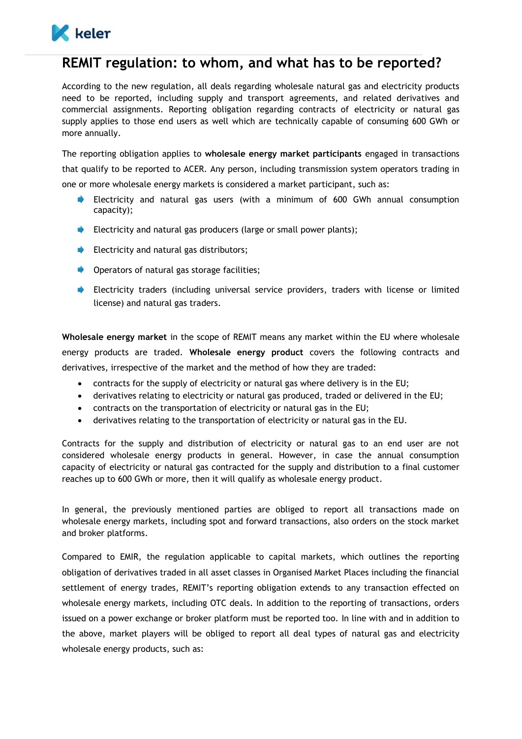

## **REMIT regulation: to whom, and what has to be reported?**

According to the new regulation, all deals regarding wholesale natural gas and electricity products need to be reported, including supply and transport agreements, and related derivatives and commercial assignments. Reporting obligation regarding contracts of electricity or natural gas supply applies to those end users as well which are technically capable of consuming 600 GWh or more annually.

The reporting obligation applies to **wholesale energy market participants** engaged in transactions that qualify to be reported to ACER. Any person, including transmission system operators trading in one or more wholesale energy markets is considered a market participant, such as:

- $\blacksquare$ Electricity and natural gas users (with a minimum of 600 GWh annual consumption capacity);
- Electricity and natural gas producers (large or small power plants);
- **Electricity and natural gas distributors;**
- **Operators of natural gas storage facilities;**
- Electricity traders (including universal service providers, traders with license or limited license) and natural gas traders.

**Wholesale energy market** in the scope of REMIT means any market within the EU where wholesale energy products are traded. **Wholesale energy product** covers the following contracts and derivatives, irrespective of the market and the method of how they are traded:

- contracts for the supply of electricity or natural gas where delivery is in the EU;
- derivatives relating to electricity or natural gas produced, traded or delivered in the EU;
- contracts on the transportation of electricity or natural gas in the EU;
- derivatives relating to the transportation of electricity or natural gas in the EU.

Contracts for the supply and distribution of electricity or natural gas to an end user are not considered wholesale energy products in general. However, in case the annual consumption capacity of electricity or natural gas contracted for the supply and distribution to a final customer reaches up to 600 GWh or more, then it will qualify as wholesale energy product.

In general, the previously mentioned parties are obliged to report all transactions made on wholesale energy markets, including spot and forward transactions, also orders on the stock market and broker platforms.

Compared to EMIR, the regulation applicable to capital markets, which outlines the reporting obligation of derivatives traded in all asset classes in Organised Market Places including the financial settlement of energy trades, REMIT's reporting obligation extends to any transaction effected on wholesale energy markets, including OTC deals. In addition to the reporting of transactions, orders issued on a power exchange or broker platform must be reported too. In line with and in addition to the above, market players will be obliged to report all deal types of natural gas and electricity wholesale energy products, such as: